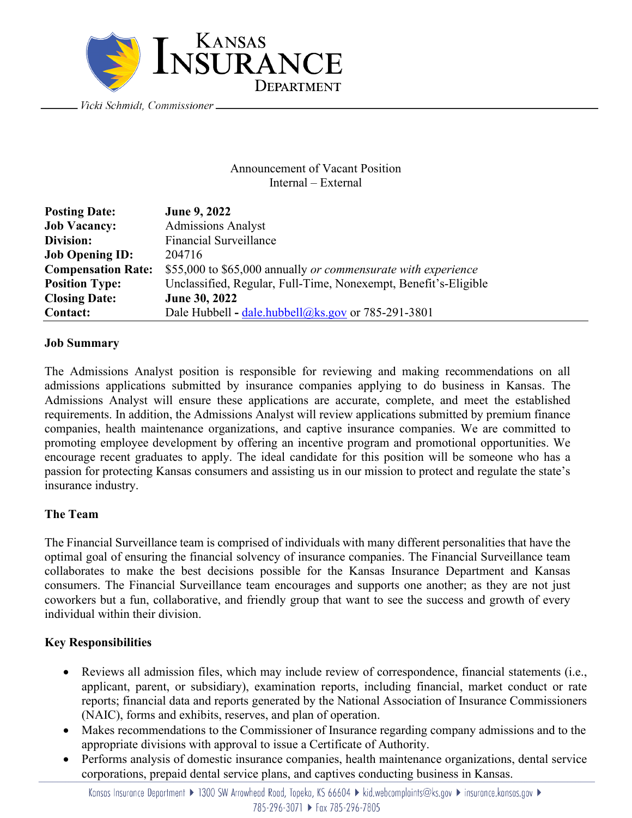

Announcement of Vacant Position Internal – External

| <b>Posting Date:</b>      | June 9, 2022                                                    |
|---------------------------|-----------------------------------------------------------------|
| <b>Job Vacancy:</b>       | <b>Admissions Analyst</b>                                       |
| Division:                 | <b>Financial Surveillance</b>                                   |
| <b>Job Opening ID:</b>    | 204716                                                          |
| <b>Compensation Rate:</b> | \$55,000 to \$65,000 annually or commensurate with experience   |
| <b>Position Type:</b>     | Unclassified, Regular, Full-Time, Nonexempt, Benefit's-Eligible |
| <b>Closing Date:</b>      | June 30, 2022                                                   |
| <b>Contact:</b>           | Dale Hubbell - dale.hubbell@ks.gov or $785-291-3801$            |

#### **Job Summary**

The Admissions Analyst position is responsible for reviewing and making recommendations on all admissions applications submitted by insurance companies applying to do business in Kansas. The Admissions Analyst will ensure these applications are accurate, complete, and meet the established requirements. In addition, the Admissions Analyst will review applications submitted by premium finance companies, health maintenance organizations, and captive insurance companies. We are committed to promoting employee development by offering an incentive program and promotional opportunities. We encourage recent graduates to apply. The ideal candidate for this position will be someone who has a passion for protecting Kansas consumers and assisting us in our mission to protect and regulate the state's insurance industry.

# **The Team**

The Financial Surveillance team is comprised of individuals with many different personalities that have the optimal goal of ensuring the financial solvency of insurance companies. The Financial Surveillance team collaborates to make the best decisions possible for the Kansas Insurance Department and Kansas consumers. The Financial Surveillance team encourages and supports one another; as they are not just coworkers but a fun, collaborative, and friendly group that want to see the success and growth of every individual within their division.

# **Key Responsibilities**

- Reviews all admission files, which may include review of correspondence, financial statements (i.e., applicant, parent, or subsidiary), examination reports, including financial, market conduct or rate reports; financial data and reports generated by the National Association of Insurance Commissioners (NAIC), forms and exhibits, reserves, and plan of operation.
- Makes recommendations to the Commissioner of Insurance regarding company admissions and to the appropriate divisions with approval to issue a Certificate of Authority.
- Performs analysis of domestic insurance companies, health maintenance organizations, dental service corporations, prepaid dental service plans, and captives conducting business in Kansas.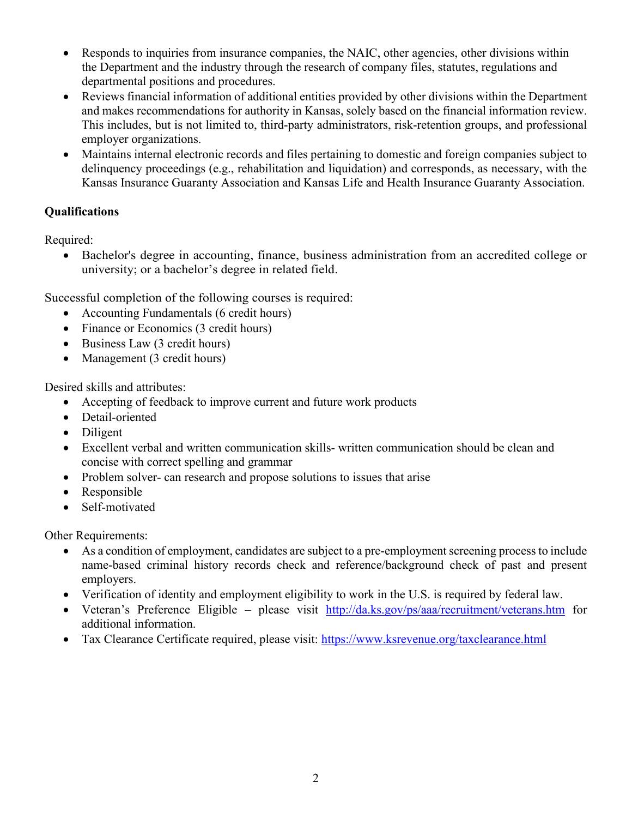- Responds to inquiries from insurance companies, the NAIC, other agencies, other divisions within the Department and the industry through the research of company files, statutes, regulations and departmental positions and procedures.
- Reviews financial information of additional entities provided by other divisions within the Department and makes recommendations for authority in Kansas, solely based on the financial information review. This includes, but is not limited to, third-party administrators, risk-retention groups, and professional employer organizations.
- Maintains internal electronic records and files pertaining to domestic and foreign companies subject to delinquency proceedings (e.g., rehabilitation and liquidation) and corresponds, as necessary, with the Kansas Insurance Guaranty Association and Kansas Life and Health Insurance Guaranty Association.

# **Qualifications**

Required:

• Bachelor's degree in accounting, finance, business administration from an accredited college or university; or a bachelor's degree in related field.

Successful completion of the following courses is required:

- Accounting Fundamentals (6 credit hours)
- Finance or Economics (3 credit hours)
- Business Law (3 credit hours)
- Management (3 credit hours)

Desired skills and attributes:

- Accepting of feedback to improve current and future work products
- Detail-oriented
- Diligent
- Excellent verbal and written communication skills-written communication should be clean and concise with correct spelling and grammar
- Problem solver- can research and propose solutions to issues that arise
- Responsible
- Self-motivated

Other Requirements:

- As a condition of employment, candidates are subject to a pre-employment screening process to include name-based criminal history records check and reference/background check of past and present employers.
- Verification of identity and employment eligibility to work in the U.S. is required by federal law.
- Veteran's Preference Eligible please visit <http://da.ks.gov/ps/aaa/recruitment/veterans.htm> for additional information.
- Tax Clearance Certificate required, please visit:<https://www.ksrevenue.org/taxclearance.html>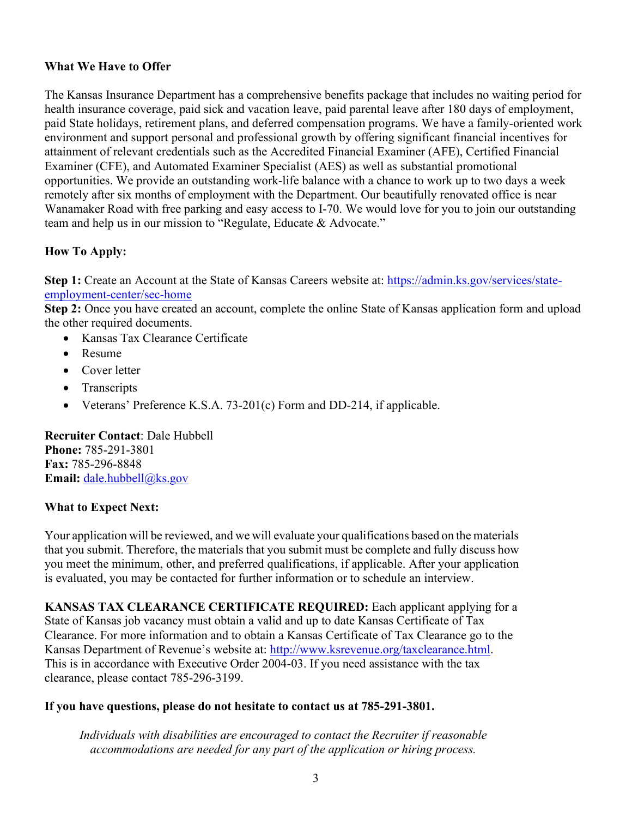### **What We Have to Offer**

The Kansas Insurance Department has a comprehensive benefits package that includes no waiting period for health insurance coverage, paid sick and vacation leave, paid parental leave after 180 days of employment, paid State holidays, retirement plans, and deferred compensation programs. We have a family-oriented work environment and support personal and professional growth by offering significant financial incentives for attainment of relevant credentials such as the Accredited Financial Examiner (AFE), Certified Financial Examiner (CFE), and Automated Examiner Specialist (AES) as well as substantial promotional opportunities. We provide an outstanding work-life balance with a chance to work up to two days a week remotely after six months of employment with the Department. Our beautifully renovated office is near Wanamaker Road with free parking and easy access to I-70. We would love for you to join our outstanding team and help us in our mission to "Regulate, Educate & Advocate."

# **How To Apply:**

**Step 1:** Create an Account at the State of Kansas Careers website at: [https://admin.ks.gov/services/state](https://admin.ks.gov/services/state-employment-center/sec-home)[employment-center/sec-home](https://admin.ks.gov/services/state-employment-center/sec-home)

**Step 2:** Once you have created an account, complete the online State of Kansas application form and upload the other required documents.

- Kansas Tax Clearance Certificate
- Resume
- Cover letter
- Transcripts
- Veterans' Preference K.S.A. 73-201(c) Form and DD-214, if applicable.

**Recruiter Contact**: Dale Hubbell **Phone:** 785-291-3801 **Fax:** 785-296-8848 **Email:** [dale.hubbell@ks.gov](mailto:dale.hubbell@ks.gov)

# **What to Expect Next:**

Your application will be reviewed, and we will evaluate your qualifications based on the materials that you submit. Therefore, the materials that you submit must be complete and fully discuss how you meet the minimum, other, and preferred qualifications, if applicable. After your application is evaluated, you may be contacted for further information or to schedule an interview.

**KANSAS TAX CLEARANCE CERTIFICATE REQUIRED:** Each applicant applying for a State of Kansas job vacancy must obtain a valid and up to date Kansas Certificate of Tax Clearance. For more information and to obtain a Kansas Certificate of Tax Clearance go to the Kansas Department of Revenue's website at: [http://www.ksrevenue.org/taxclearance.html.](http://www.ksrevenue.org/taxclearance.html) This is in accordance with Executive Order 2004-03. If you need assistance with the tax clearance, please contact 785-296-3199.

#### **If you have questions, please do not hesitate to contact us at 785-291-3801.**

*Individuals with disabilities are encouraged to contact the Recruiter if reasonable accommodations are needed for any part of the application or hiring process.*